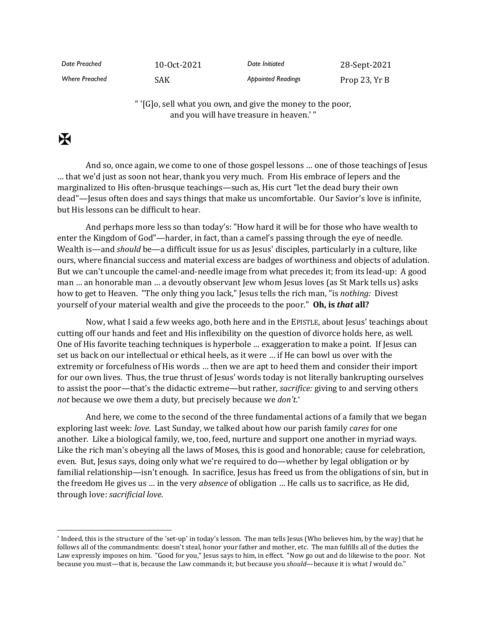| Date Preached         | $10-0ct-2021$ | Date Initiated            | 28-Sept-2021  |
|-----------------------|---------------|---------------------------|---------------|
| <b>Where Preached</b> | SAK           | <b>Appointed Readings</b> | Prop 23, Yr B |

" '[G]o, sell what you own, and give the money to the poor, and you will have treasure in heaven.' "

## $\mathbf F$

And so, once again, we come to one of those gospel lessons … one of those teachings of Jesus … that we'd just as soon not hear, thank you very much. From His embrace of lepers and the marginalized to His often-brusque teachings—such as, His curt "let the dead bury their own dead"—Jesus often does and says things that make us uncomfortable. Our Savior's love is infinite, but His lessons can be difficult to hear.

And perhaps more less so than today's: "How hard it will be for those who have wealth to enter the Kingdom of God"—harder, in fact, than a camel's passing through the eye of needle. Wealth is—and *should* be—a difficult issue for us as Jesus' disciples, particularly in a culture, like ours, where financial success and material excess are badges of worthiness and objects of adulation. But we can't uncouple the camel-and-needle image from what precedes it; from its lead-up: A good man … an honorable man … a devoutly observant Jew whom Jesus loves (as St Mark tells us) asks how to get to Heaven. "The only thing you lack," Jesus tells the rich man, "is *nothing:* Divest yourself of your material wealth and give the proceeds to the poor." **Oh, is** *that* **all?**

Now, what I said a few weeks ago, both here and in the EPISTLE, about Jesus' teachings about cutting off our hands and feet and His inflexibility on the question of divorce holds here, as well. One of His favorite teaching techniques is hyperbole … exaggeration to make a point. If Jesus can set us back on our intellectual or ethical heels, as it were … if He can bowl us over with the extremity or forcefulness of His words … then we are apt to heed them and consider their import for our own lives. Thus, the true thrust of Jesus' words today is not literally bankrupting ourselves to assist the poor—that's the didactic extreme—but rather, *sacrifice:* giving to and serving others *not* because we owe them a duty, but precisely because we *don't*. \*

And here, we come to the second of the three fundamental actions of a family that we began exploring last week: *love*. Last Sunday, we talked about how our parish family *cares* for one another. Like a biological family, we, too, feed, nurture and support one another in myriad ways. Like the rich man's obeying all the laws of Moses, this is good and honorable; cause for celebration, even. But, Jesus says, doing only what we're required to do—whether by legal obligation or by familial relationship—isn't enough. In sacrifice, Jesus has freed us from the obligations of sin, but in the freedom He gives us … in the very *absence* of obligation … He calls us to sacrifice, as He did, through love: *sacrificial love*.

<sup>\*</sup> Indeed, this is the structure of the 'set-up' in today's lesson. The man tells Jesus (Who believes him, by the way) that he follows all of the commandments: doesn't steal, honor your father and mother, etc. The man fulfills all of the duties the Law expressly imposes on him. "Good for you," Jesus says to him, in effect. "Now go out and do likewise to the poor. Not because you must—that is, because the Law commands it; but because you *should*—because it is what *I* would do."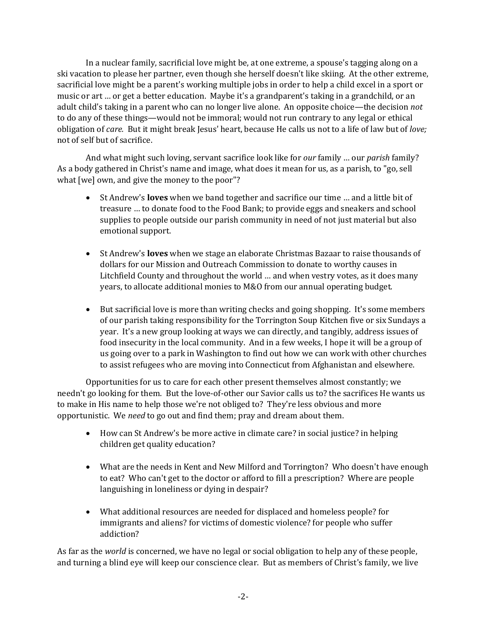In a nuclear family, sacrificial love might be, at one extreme, a spouse's tagging along on a ski vacation to please her partner, even though she herself doesn't like skiing. At the other extreme, sacrificial love might be a parent's working multiple jobs in order to help a child excel in a sport or music or art … or get a better education. Maybe it's a grandparent's taking in a grandchild, or an adult child's taking in a parent who can no longer live alone. An opposite choice—the decision *not* to do any of these things—would not be immoral; would not run contrary to any legal or ethical obligation of *care.* But it might break Jesus' heart, because He calls us not to a life of law but of *love;* not of self but of sacrifice.

And what might such loving, servant sacrifice look like for *our* family … our *parish* family? As a body gathered in Christ's name and image, what does it mean for us, as a parish, to "go, sell what [we] own, and give the money to the poor"?

- St Andrew's **loves** when we band together and sacrifice our time … and a little bit of treasure … to donate food to the Food Bank; to provide eggs and sneakers and school supplies to people outside our parish community in need of not just material but also emotional support.
- St Andrew's **loves** when we stage an elaborate Christmas Bazaar to raise thousands of dollars for our Mission and Outreach Commission to donate to worthy causes in Litchfield County and throughout the world … and when vestry votes, as it does many years, to allocate additional monies to M&O from our annual operating budget.
- But sacrificial love is more than writing checks and going shopping. It's some members of our parish taking responsibility for the Torrington Soup Kitchen five or six Sundays a year. It's a new group looking at ways we can directly, and tangibly, address issues of food insecurity in the local community. And in a few weeks, I hope it will be a group of us going over to a park in Washington to find out how we can work with other churches to assist refugees who are moving into Connecticut from Afghanistan and elsewhere.

Opportunities for us to care for each other present themselves almost constantly; we needn't go looking for them. But the love-of-other our Savior calls us to? the sacrifices He wants us to make in His name to help those we're not obliged to? They're less obvious and more opportunistic. We *need* to go out and find them; pray and dream about them.

- How can St Andrew's be more active in climate care? in social justice? in helping children get quality education?
- What are the needs in Kent and New Milford and Torrington? Who doesn't have enough to eat? Who can't get to the doctor or afford to fill a prescription? Where are people languishing in loneliness or dying in despair?
- What additional resources are needed for displaced and homeless people? for immigrants and aliens? for victims of domestic violence? for people who suffer addiction?

As far as the *world* is concerned, we have no legal or social obligation to help any of these people, and turning a blind eye will keep our conscience clear. But as members of Christ's family, we live